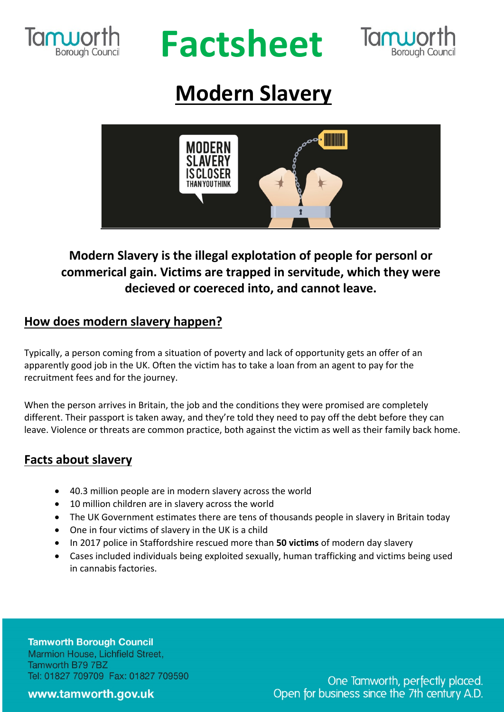

# **Factsheet**



# **Modern Slavery**



## **Modern Slavery is the illegal explotation of people for personl or commerical gain. Victims are trapped in servitude, which they were decieved or coereced into, and cannot leave.**

### **How does modern slavery happen?**

Typically, a person coming from a situation of poverty and lack of opportunity gets an offer of an apparently good job in the UK. Often the victim has to take a loan from an agent to pay for the recruitment fees and for the journey.

When the person arrives in Britain, the job and the conditions they were promised are completely different. Their passport is taken away, and they're told they need to pay off the debt before they can leave. Violence or threats are common practice, both against the victim as well as their family back home.

### **Facts about slavery**

- 40.3 million people are in modern slavery across the world
- 10 million children are in slavery across the world
- The UK Government estimates there are tens of thousands people in slavery in Britain today
- One in four victims of slavery in the UK is a child
- In 2017 police in Staffordshire rescued more than **50 victims** of modern day slavery
- Cases included individuals being exploited sexually, human trafficking and victims being used in cannabis factories.

**Tamworth Borough Council** Marmion House, Lichfield Street, Tamworth B79 7BZ Tel: 01827 709709 Fax: 01827 709590

#### www.tamworth.gov.uk

One Tamworth, perfectly placed. Open for business since the 7th century A.D.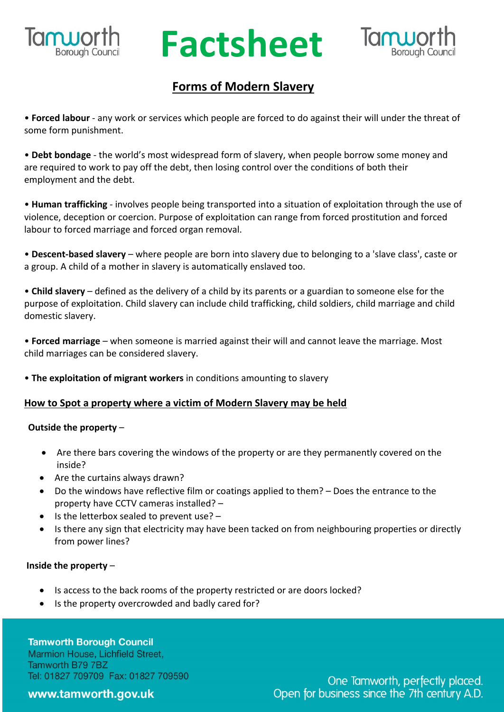

# **RUPOLIC Factsheet**



### **Forms of Modern Slavery**

• **Forced labour** - any work or services which people are forced to do against their will under the threat of some form punishment.

• **Debt bondage** - the world's most widespread form of slavery, when people borrow some money and are required to work to pay off the debt, then losing control over the conditions of both their employment and the debt.

• **Human trafficking** - involves people being transported into a situation of exploitation through the use of violence, deception or coercion. Purpose of exploitation can range from forced prostitution and forced labour to forced marriage and forced organ removal.

• **Descent-based slavery** – where people are born into slavery due to belonging to a 'slave class', caste or a group. A child of a mother in slavery is automatically enslaved too.

• **Child slavery** – defined as the delivery of a child by its parents or a guardian to someone else for the purpose of exploitation. Child slavery can include child trafficking, child soldiers, child marriage and child domestic slavery.

• **Forced marriage** – when someone is married against their will and cannot leave the marriage. Most child marriages can be considered slavery.

• **The exploitation of migrant workers** in conditions amounting to slavery

#### **How to Spot a property where a victim of Modern Slavery may be held**

#### **Outside the property** –

- Are there bars covering the windows of the property or are they permanently covered on the inside?
- Are the curtains always drawn?
- Do the windows have reflective film or coatings applied to them? Does the entrance to the property have CCTV cameras installed? –
- Is the letterbox sealed to prevent use? –
- Is there any sign that electricity may have been tacked on from neighbouring properties or directly from power lines?

#### **Inside the property** –

- Is access to the back rooms of the property restricted or are doors locked?
- Is the property overcrowded and badly cared for?

**Tamworth Borough Council** Marmion House, Lichfield Street, Tamworth B79 7BZ Tel: 01827 709709 Fax: 01827 709590

www.tamworth.gov.uk

One Tamworth, perfectly placed. Open for business since the 7th century A.D.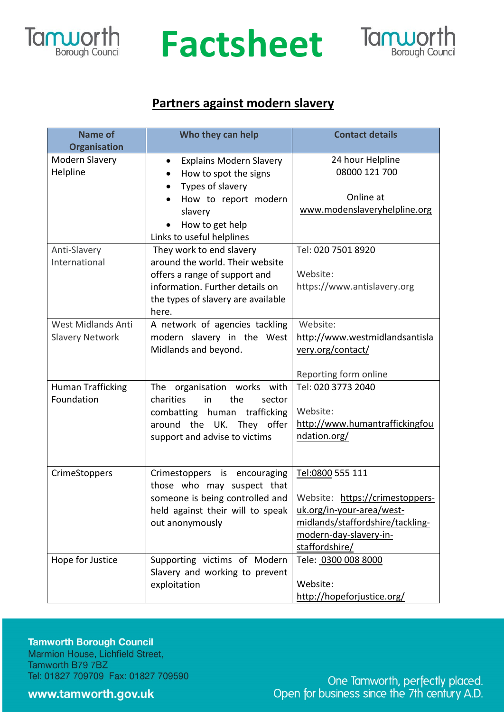

# **Factsheet**



### **Partners against modern slavery**

| <b>Name of</b><br><b>Organisation</b> | Who they can help                           | <b>Contact details</b>                   |
|---------------------------------------|---------------------------------------------|------------------------------------------|
| Modern Slavery                        | <b>Explains Modern Slavery</b><br>$\bullet$ | 24 hour Helpline                         |
| Helpline                              | How to spot the signs<br>$\bullet$          | 08000 121 700                            |
|                                       | Types of slavery                            |                                          |
|                                       | How to report modern                        | Online at                                |
|                                       | slavery                                     | www.modenslaveryhelpline.org             |
|                                       | How to get help                             |                                          |
|                                       | Links to useful helplines                   |                                          |
| Anti-Slavery                          | They work to end slavery                    | Tel: 020 7501 8920                       |
| International                         | around the world. Their website             |                                          |
|                                       | offers a range of support and               | Website:                                 |
|                                       | information. Further details on             | https://www.antislavery.org              |
|                                       | the types of slavery are available<br>here. |                                          |
| West Midlands Anti                    | A network of agencies tackling              | Website:                                 |
| <b>Slavery Network</b>                | modern slavery in the West                  | http://www.westmidlandsantisla           |
|                                       | Midlands and beyond.                        | very.org/contact/                        |
|                                       |                                             |                                          |
|                                       |                                             | Reporting form online                    |
| <b>Human Trafficking</b>              | organisation works with<br>The              | Tel: 020 3773 2040                       |
| Foundation                            | charities<br>in<br>the<br>sector            |                                          |
|                                       | combatting human trafficking                | Website:                                 |
|                                       | around the UK. They offer                   | http://www.humantraffickingfou           |
|                                       | support and advise to victims               | ndation.org/                             |
|                                       |                                             |                                          |
| CrimeStoppers                         | Crimestoppers is encouraging                | Tel:0800 555 111                         |
|                                       | those who may suspect that                  |                                          |
|                                       | someone is being controlled and             | Website: https://crimestoppers-          |
|                                       | held against their will to speak            | uk.org/in-your-area/west-                |
|                                       | out anonymously                             | midlands/staffordshire/tackling-         |
|                                       |                                             | modern-day-slavery-in-<br>staffordshire/ |
| Hope for Justice                      | Supporting victims of Modern                | Tele: 0300 008 8000                      |
|                                       | Slavery and working to prevent              |                                          |
|                                       | exploitation                                | Website:                                 |
|                                       |                                             | http://hopeforjustice.org/               |

**Tamworth Borough Council** Marmion House, Lichfield Street, Tamworth B79 7BZ

Tel: 01827 709709 Fax: 01827 709590

www.tamworth.gov.uk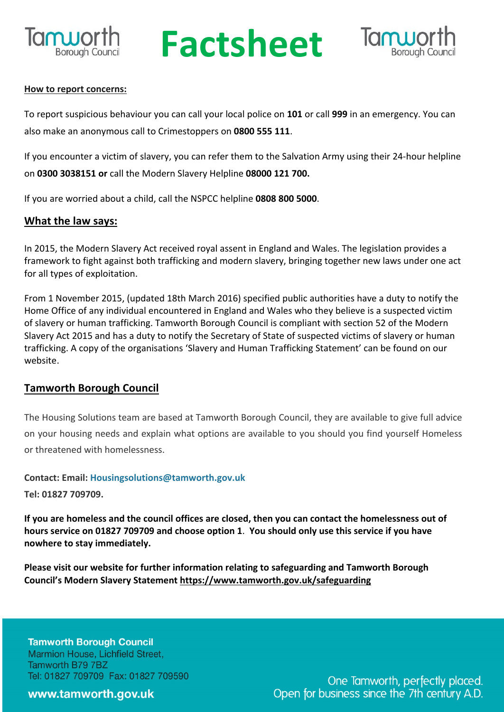

# **Ruporth Factsheet**



#### **How to report concerns:**

To report suspicious behaviour you can call your local police on **101** or call **999** in an emergency. You can also make an anonymous call to Crimestoppers on **0800 555 111**.

If you encounter a victim of slavery, you can refer them to the Salvation Army using their 24-hour helpline on **0300 3038151 or** call the Modern Slavery Helpline **08000 121 700.**

If you are worried about a child, call the NSPCC helpline **0808 800 5000**.

#### **What the law says:**

In 2015, the Modern Slavery Act received royal assent in England and Wales. The legislation provides a framework to fight against both trafficking and modern slavery, bringing together new laws under one act for all types of exploitation.

From 1 November 2015, (updated 18th March 2016) specified public authorities have a duty to notify the Home Office of any individual encountered in England and Wales who they believe is a suspected victim of slavery or human trafficking. Tamworth Borough Council is compliant with section 52 of the Modern Slavery Act 2015 and has a duty to notify the Secretary of State of suspected victims of slavery or human trafficking. A copy of the organisations 'Slavery and Human Trafficking Statement' can be found on our website.

#### **Tamworth Borough Council**

The Housing Solutions team are based at Tamworth Borough Council, they are available to give full advice on your housing needs and explain what options are available to you should you find yourself Homeless or threatened with homelessness.

**Contact: Email: Housingsolutions@tamworth.gov.uk**

**Tel: 01827 709709.**

If you are homeless and the council offices are closed, then you can contact the homelessness out of **hours service on 01827 709709 and choose option 1**. **You should only use this service if you have nowhere to stay immediately.**

**Please visit our website for further information relating to safeguarding and Tamworth Borough Council's Modern Slavery Statement https://www.tamworth.gov.uk/safeguarding**

**Tamworth Borough Council** Marmion House, Lichfield Street, Tamworth B79 7BZ Tel: 01827 709709 Fax: 01827 709590

www.tamworth.gov.uk

One Tamworth, perfectly placed. Open for business since the 7th century A.D.